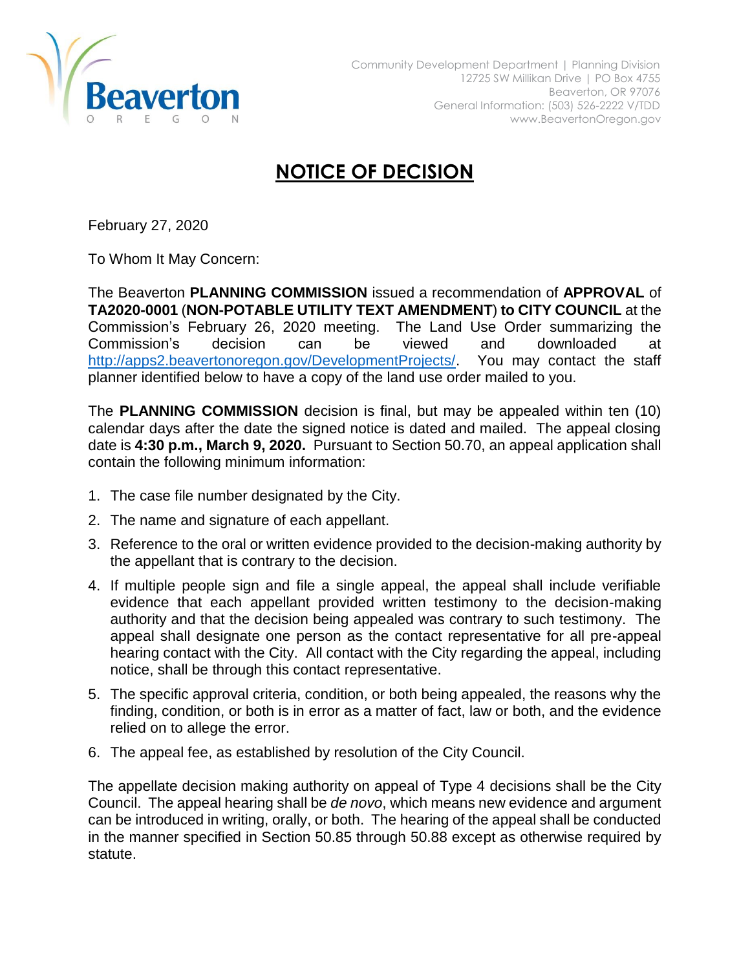

## **NOTICE OF DECISION**

February 27, 2020

To Whom It May Concern:

The Beaverton **PLANNING COMMISSION** issued a recommendation of **APPROVAL** of **TA2020-0001** (**NON-POTABLE UTILITY TEXT AMENDMENT**) **to CITY COUNCIL** at the Commission's February 26, 2020 meeting. The Land Use Order summarizing the Commission's decision can be viewed and downloaded at [http://apps2.beavertonoregon.gov/DevelopmentProjects/.](http://apps2.beavertonoregon.gov/DevelopmentProjects/) You may contact the staff planner identified below to have a copy of the land use order mailed to you.

The **PLANNING COMMISSION** decision is final, but may be appealed within ten (10) calendar days after the date the signed notice is dated and mailed. The appeal closing date is **4:30 p.m., March 9, 2020.** Pursuant to Section 50.70, an appeal application shall contain the following minimum information:

- 1. The case file number designated by the City.
- 2. The name and signature of each appellant.
- 3. Reference to the oral or written evidence provided to the decision-making authority by the appellant that is contrary to the decision.
- 4. If multiple people sign and file a single appeal, the appeal shall include verifiable evidence that each appellant provided written testimony to the decision-making authority and that the decision being appealed was contrary to such testimony. The appeal shall designate one person as the contact representative for all pre-appeal hearing contact with the City. All contact with the City regarding the appeal, including notice, shall be through this contact representative.
- 5. The specific approval criteria, condition, or both being appealed, the reasons why the finding, condition, or both is in error as a matter of fact, law or both, and the evidence relied on to allege the error.
- 6. The appeal fee, as established by resolution of the City Council.

The appellate decision making authority on appeal of Type 4 decisions shall be the City Council. The appeal hearing shall be *de novo*, which means new evidence and argument can be introduced in writing, orally, or both. The hearing of the appeal shall be conducted in the manner specified in Section 50.85 through 50.88 except as otherwise required by statute.